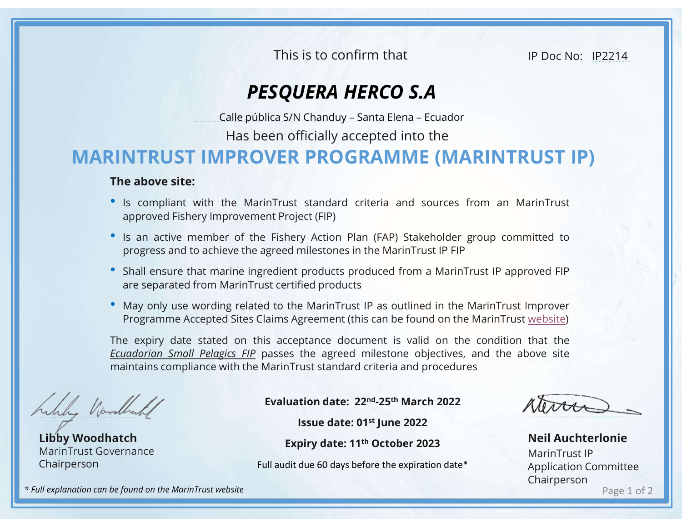This is to confirm that

IP Doc No: IP2214

## PESQUERA HERCO S.A

Has been officially accepted into the

## MARINTRUST IMPROVER PROGRAMME (MARINTRUST IP) This is to confirm that<br>
PESQUERA HERCO S.A<br>
Calle pública S/N Chanduy – Santa Elena – Ecuador<br>
Has been officially accepted into the<br> **IPROVER PROGRAMME (MARINTRUST IP)**

## The above site:

- **Is compliant with the MarinTrust standard criteria and sources from an MarinTrust approved Fishery Improvement Project (FIP)<br>
 Is an active member of the Fishery Action Plan (FAP) Stakeholder group committed to progres** This is to confirm that<br> **PESQUERA HERCO S.A**<br>
Calle pública S/N Chanduy - Santa Elena - Ecuador<br>
Has been officially accepted into the<br> **NTRUST IMPROVER PROGRAMME (MARINTRUST IP)**<br>
e above site:<br>
Is compliant with the Mar **• Is an active member of the Fishery Action Plan (FAP)**<br>
• **PESQUERA HERCO S.A**<br>
• Calle pública S/N Chanduy – Santa Elena – Ecuador<br>
• Has been officially accepted into the<br>
• IS compliant with the MarinTrust standard cr This is to confirm that<br> **PESQUERA HERCO S.A**<br>
Calle pública S/N Chanduy - Santa Elena - Ecuador<br>
Has been officially accepted into the<br> **NTRUST IMPROVER PROGRAMME (MARINTRUST IP)**<br>
e **above site:**<br>
Is compliant with the M FIRE SUCTUAL TIME IS TO COMMON THAT THE UP DOC NO: TP2214<br> **PESQUERA HERCO S.A**<br>
Calle pública S/N Chanduy - Santa Elena - Ecuador<br> **HARINTRUST IMPROVER PROGRAMME (MARINTRUST IP)**<br>
The above site:<br>
• Is compliant with the **PESQUERA HERCO S.A**<br>Calle pública S/N Chanduy – Santa Elena – Ecuador<br>Has been officially accepted into the<br>**NTRUST IMPROVER PROGRAMME (MARINTRUST IP)**<br>e above site:<br>Is compliant with the MarinTrust standard criteria and
- 
- 
- 

**• PESQUERA HERCO S.A**<br>
Calle pública S/N Chanduy - Santa Elena - Ecuador<br>
Has been officially accepted into the<br> **RINTRUST IMPROVER PROGRAMME (MARINTRUST IP)**<br> **The above site:**<br>
• Is compliant with the MarinTrust standa Calle pública S/N Chanduy – Santa Elena – Ecuador<br>Has been officially accepted into the<br>**NTRUST IP)**<br>e above site:<br>Is compliant with the MarinTrust standard criteria and sources from an MarinTrust<br>approved Fishery Improvem Has been officially accepted into the<br> **The above site:**<br>
• Is compliant with the MarinTrust standard criteria and sources from an MarinTrust<br>
• Si sompliant with the MarinTrust standard criteria and sources from an MarinT THE ASSEM INTRUST IMPROVER PROGRAMME (MARINTRUST IP)<br>
The above site:<br>
"s is compliant with the MarinTrust standard criteria and sources from an MarinTrust<br>
"approved Fishery Improvement Project (FIP)<br>
"Is an active membe **EXERCT IMPROVER PROGRAMME (MARINTRUST IP)**<br>
The above site:<br>
" Is compliant with the MarinTrust standard criteria and sources from an MarinTrust<br>
" Is an active member of the Fishery Action Plan (FAP) Stakeholder group c In Trust standard criteria and sources from an MarinTrust<br>
Interprett (FIP)<br>
Fishery Action Plan (FAP) Stakeholder group committed to<br>
greed milestones in the MarinTrust IP FIP<br>
redient products<br>
at certified products<br>
at ett (FIP)<br>
ett (FIP)<br>
ett (FIP)<br>
products produced from a MarinTrust IP approved FIP<br>
products products<br>
e MarinTrust IP as outlined in the MarinTrust Improver<br>
fied products<br>
e MarinTrust IP as outlined in the MarinTrust

Libby Woodhatch MarinTrust Governance Chairperson

Expiry date: 11th October 2023

Full audit due 60 days before the expiration date\*

Page 1 of 2 Neil Auchterlonie MarinTrust IP Application Committee Chairperson

\* Full explanation can be found on the MarinTrust website